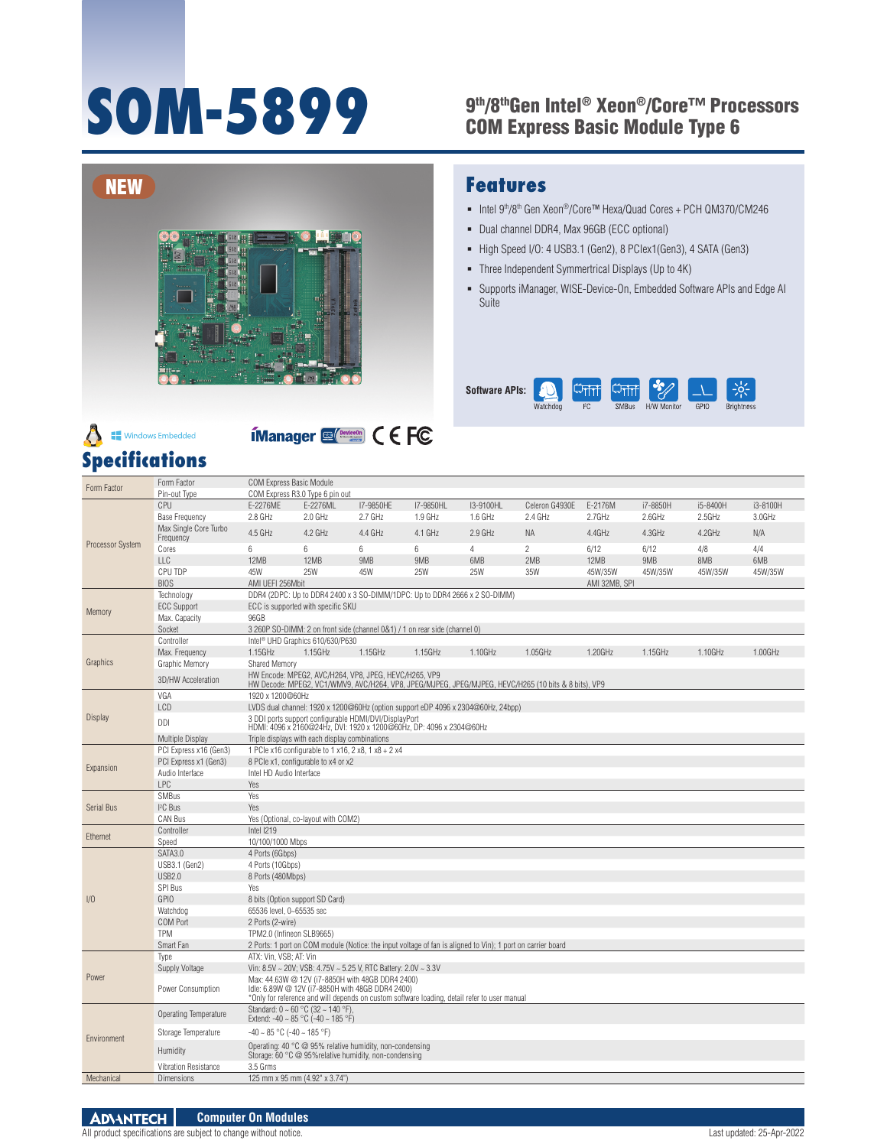# 9th/8thGen Intel® Xeon®/Core™ Processors **SOM-5899** COM Express Basic Module Type 6



## **Windows Embedded**



#### **Specifications** Form Factor Form Factor Form Factor Form Factor COM Express R3.0 Type 6 pi Pin-out Type COM Express R3.0 Type 6 pin out<br>CPU E-2276ME E-2276ML CPU E-2276ME E-2276ML I7-9850HE I7-9850HL I3-9100HL Celeron G4930E E-2176M i7-8850H i5-8400H i3-8100H Base Frequency 2.8 GHz 2.0 GHz 2.7 GHz 1.9 GHz 1.6 GHz 2.4 GHz 2.7GHz 2.6GHz 2.5GHz 3.0GHz Max Single Core Turbo Technology DDR4 (2DPC: Up to DDR4 2400 x 3 SO-DIMM/1DPC: Up to DDR4 2666 x 2 SO-DIMM) ECC Support ECC is supported with specific SKU Max. Capacity 96GB Socket 3 260P SO-DIMM: 2 on front side (channel 0&1) / 1 on rear side (channel 0) Controller Intel® UHD Graphics 610/630/P630 Graphic Memory Shared Memory 3D/HW Acceleration HW Encode: MPEG2, AVC/H264, VP8, JPEG, HEVC/H265, VP9 VGA 1920 x 1200@60Hz LCD LVDS dual channel: 1920 x 1200@60Hz (option support eDP 4096 x 2304@60Hz, 24bpp)

#### **Features**

- Intel 9<sup>th</sup>/8<sup>th</sup> Gen Xeon<sup>®</sup>/Core™ Hexa/Quad Cores + PCH QM370/CM246
- Dual channel DDR4, Max 96GB (ECC optional)
- High Speed I/O: 4 USB3.1 (Gen2), 8 PClex1(Gen3), 4 SATA (Gen3)
- Three Independent Symmertrical Displays (Up to 4K)
- Supports iManager, WISE-Device-On, Embedded Software APIs and Edge AI **Suite**

| <b>Software APIs:</b> | ь        | <b>Entri</b> | Criti        | D           |      |                   |
|-----------------------|----------|--------------|--------------|-------------|------|-------------------|
|                       | Watchdog | ľС           | <b>SMBus</b> | H/W Monitor | GPIC | <b>Brightness</b> |

|                         | Max Single Core Turbo<br>Frequency | 4.5 GHz                                                                                                                                                                                              | 4.2 GHz                                                                    | 4.4 GHz | 4.1 GHz                                                                                                     | $2.9$ GHz | <b>NA</b>      | 4.4GHz        | 4.3GHz  | 4.2GHz  | N/A     |  |
|-------------------------|------------------------------------|------------------------------------------------------------------------------------------------------------------------------------------------------------------------------------------------------|----------------------------------------------------------------------------|---------|-------------------------------------------------------------------------------------------------------------|-----------|----------------|---------------|---------|---------|---------|--|
| <b>Processor System</b> | Cores                              | 6                                                                                                                                                                                                    | 6                                                                          | 6       | 6                                                                                                           | 4         | $\overline{2}$ | 6/12          | 6/12    | 4/8     | 4/4     |  |
|                         | <b>LLC</b>                         | 12MB                                                                                                                                                                                                 | 12MB                                                                       | 9MB     | 9MB                                                                                                         | 6MB       | 2MB            | 12MB          | 9MB     | 8MB     | 6MB     |  |
|                         | CPU TDP                            | 45W                                                                                                                                                                                                  | 25W                                                                        | 45W     | <b>25W</b>                                                                                                  | 25W       | 35W            | 45W/35W       | 45W/35W | 45W/35W | 45W/35W |  |
|                         | <b>BIOS</b>                        | AMI UEFI 256Mbit                                                                                                                                                                                     |                                                                            |         |                                                                                                             |           |                | AMI 32MB, SPI |         |         |         |  |
|                         | Technology                         |                                                                                                                                                                                                      | DDR4 (2DPC: Up to DDR4 2400 x 3 SO-DIMM/1DPC: Up to DDR4 2666 x 2 SO-DIMM) |         |                                                                                                             |           |                |               |         |         |         |  |
|                         | <b>ECC Support</b>                 |                                                                                                                                                                                                      | ECC is supported with specific SKU                                         |         |                                                                                                             |           |                |               |         |         |         |  |
| Memory                  | Max. Capacity                      | 96GB                                                                                                                                                                                                 |                                                                            |         |                                                                                                             |           |                |               |         |         |         |  |
|                         | Socket                             |                                                                                                                                                                                                      |                                                                            |         | 3 260P SO-DIMM: 2 on front side (channel 0&1) / 1 on rear side (channel 0)                                  |           |                |               |         |         |         |  |
|                         | Controller                         |                                                                                                                                                                                                      | Intel <sup>®</sup> UHD Graphics 610/630/P630                               |         |                                                                                                             |           |                |               |         |         |         |  |
|                         | Max. Frequency                     | 1.15GHz                                                                                                                                                                                              | 1.15GHz                                                                    | 1.15GHz | 1.15GHz                                                                                                     | 1.10GHz   | 1.05GHz        | 1.20GHz       | 1.15GHz | 1.10GHz | 1.00GHz |  |
| Graphics                | Graphic Memory                     |                                                                                                                                                                                                      | <b>Shared Memory</b>                                                       |         |                                                                                                             |           |                |               |         |         |         |  |
|                         | 3D/HW Acceleration                 | HW Encode: MPEG2, AVC/H264, VP8, JPEG, HEVC/H265, VP9<br>HW Decode: MPEG2, VC1/WMV9, AVC/H264, VP8, JPEG/MJPEG, JPEG/MJPEG, HEVC/H265 (10 bits & 8 bits), VP9                                        |                                                                            |         |                                                                                                             |           |                |               |         |         |         |  |
|                         | VGA                                | 1920 x 1200@60Hz                                                                                                                                                                                     |                                                                            |         |                                                                                                             |           |                |               |         |         |         |  |
|                         | LCD                                |                                                                                                                                                                                                      |                                                                            |         | LVDS dual channel: 1920 x 1200@60Hz (option support eDP 4096 x 2304@60Hz, 24bpp)                            |           |                |               |         |         |         |  |
| <b>Display</b>          | DDI                                |                                                                                                                                                                                                      | 3 DDI ports support configurable HDMI/DVI/DisplayPort                      |         | HDMI: 4096 x 2160@24Hz, DVI: 1920 x 1200@60Hz, DP: 4096 x 2304@60Hz                                         |           |                |               |         |         |         |  |
|                         | Multiple Display                   |                                                                                                                                                                                                      | Triple displays with each display combinations                             |         |                                                                                                             |           |                |               |         |         |         |  |
|                         | PCI Express x16 (Gen3)             |                                                                                                                                                                                                      | 1 PCle x16 configurable to 1 x16, 2 x8, 1 x8 + 2 x4                        |         |                                                                                                             |           |                |               |         |         |         |  |
|                         | PCI Express x1 (Gen3)              |                                                                                                                                                                                                      | 8 PCle x1, configurable to x4 or x2                                        |         |                                                                                                             |           |                |               |         |         |         |  |
| Expansion               | Audio Interface                    | Intel HD Audio Interface                                                                                                                                                                             |                                                                            |         |                                                                                                             |           |                |               |         |         |         |  |
|                         | <b>LPC</b>                         | Yes                                                                                                                                                                                                  |                                                                            |         |                                                                                                             |           |                |               |         |         |         |  |
|                         | <b>SMBus</b>                       | Yes                                                                                                                                                                                                  |                                                                            |         |                                                                                                             |           |                |               |         |         |         |  |
| Serial Bus              | $I2C$ Bus                          | Yes                                                                                                                                                                                                  |                                                                            |         |                                                                                                             |           |                |               |         |         |         |  |
|                         | CAN Bus                            |                                                                                                                                                                                                      | Yes (Optional, co-layout with COM2)                                        |         |                                                                                                             |           |                |               |         |         |         |  |
| Ethernet                | Controller                         | Intel I219                                                                                                                                                                                           |                                                                            |         |                                                                                                             |           |                |               |         |         |         |  |
|                         | Speed                              | 10/100/1000 Mbps                                                                                                                                                                                     |                                                                            |         |                                                                                                             |           |                |               |         |         |         |  |
|                         | SATA3.0                            | 4 Ports (6Gbps)                                                                                                                                                                                      |                                                                            |         |                                                                                                             |           |                |               |         |         |         |  |
|                         | <b>USB3.1 (Gen2)</b>               | 4 Ports (10Gbps)                                                                                                                                                                                     |                                                                            |         |                                                                                                             |           |                |               |         |         |         |  |
|                         | <b>USB2.0</b>                      |                                                                                                                                                                                                      | 8 Ports (480Mbps)                                                          |         |                                                                                                             |           |                |               |         |         |         |  |
|                         | <b>SPI Bus</b>                     |                                                                                                                                                                                                      | Yes<br>8 bits (Option support SD Card)                                     |         |                                                                                                             |           |                |               |         |         |         |  |
| 1/0                     | <b>GPIO</b>                        | 65536 level, 0~65535 sec                                                                                                                                                                             |                                                                            |         |                                                                                                             |           |                |               |         |         |         |  |
|                         | Watchdog<br>COM Port               | 2 Ports (2-wire)                                                                                                                                                                                     |                                                                            |         |                                                                                                             |           |                |               |         |         |         |  |
|                         | <b>TPM</b>                         | TPM2.0 (Infineon SLB9665)                                                                                                                                                                            |                                                                            |         |                                                                                                             |           |                |               |         |         |         |  |
|                         | Smart Fan                          |                                                                                                                                                                                                      |                                                                            |         | 2 Ports: 1 port on COM module (Notice: the input voltage of fan is aligned to Vin); 1 port on carrier board |           |                |               |         |         |         |  |
|                         | Type                               | ATX: Vin, VSB; AT: Vin                                                                                                                                                                               |                                                                            |         |                                                                                                             |           |                |               |         |         |         |  |
|                         | Supply Voltage                     |                                                                                                                                                                                                      | Vin: 8.5V ~ 20V; VSB: 4.75V ~ 5.25 V, RTC Battery: 2.0V ~ 3.3V             |         |                                                                                                             |           |                |               |         |         |         |  |
| Power                   |                                    |                                                                                                                                                                                                      |                                                                            |         |                                                                                                             |           |                |               |         |         |         |  |
|                         | Power Consumption                  | Max: 44.63W @ 12V (i7-8850H with 48GB DDR4 2400)<br>Idle: 6.89W @ 12V (i7-8850H with 48GB DDR4 2400)<br>*Only for reference and will depends on custom software loading, detail refer to user manual |                                                                            |         |                                                                                                             |           |                |               |         |         |         |  |
|                         | Operating Temperature              |                                                                                                                                                                                                      | Standard: 0 ~ 60 °C (32 ~ 140 °F).<br>Extend: -40 ~ 85 °C (-40 ~ 185 °F)   |         |                                                                                                             |           |                |               |         |         |         |  |
| Environment             | Storage Temperature                |                                                                                                                                                                                                      | $-40 \sim 85$ °C ( $-40 \sim 185$ °F)                                      |         |                                                                                                             |           |                |               |         |         |         |  |
|                         | Humidity                           | Operating: 40 °C @ 95% relative humidity, non-condensing<br>Storage: 60 °C @ 95% relative humidity, non-condensing                                                                                   |                                                                            |         |                                                                                                             |           |                |               |         |         |         |  |
|                         | <b>Vibration Resistance</b>        | 3.5 Grms                                                                                                                                                                                             |                                                                            |         |                                                                                                             |           |                |               |         |         |         |  |
| Mechanical              | <b>Dimensions</b>                  |                                                                                                                                                                                                      | 125 mm x 95 mm (4.92" x 3.74")                                             |         |                                                                                                             |           |                |               |         |         |         |  |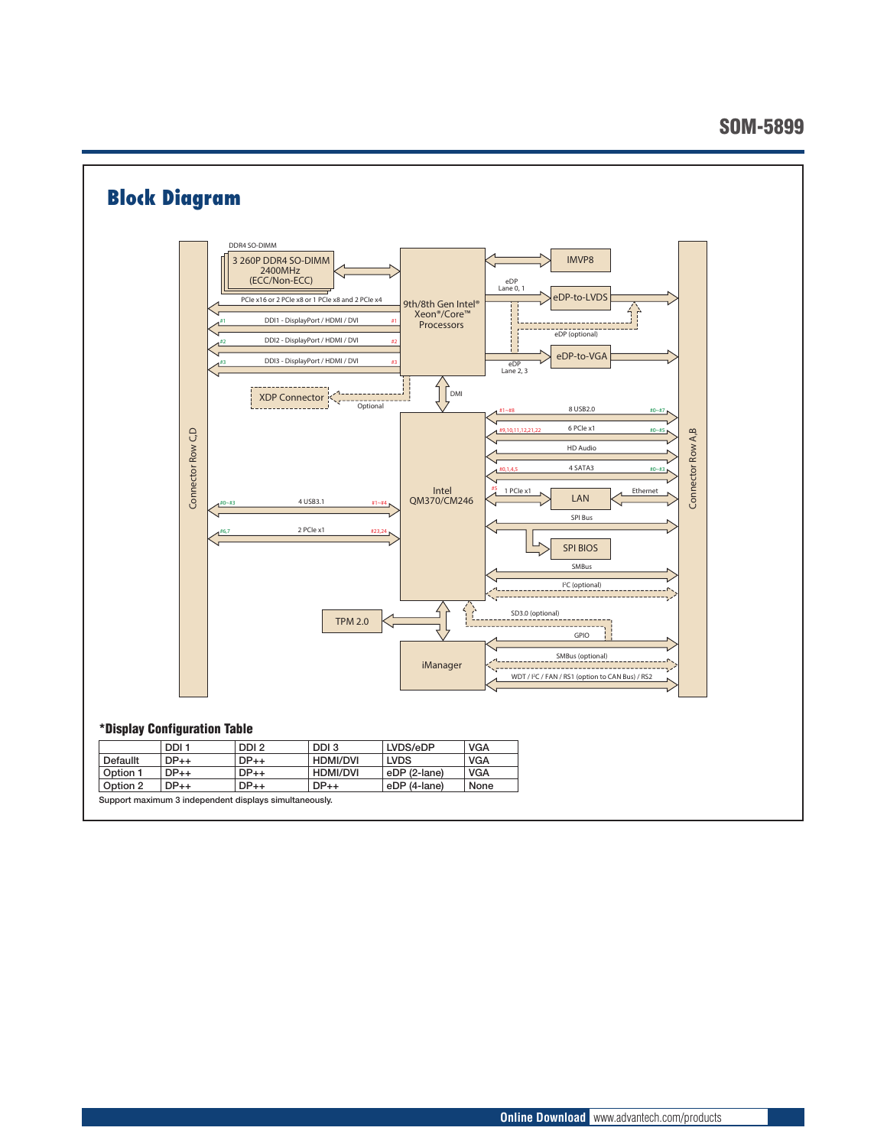#### SOM-5899